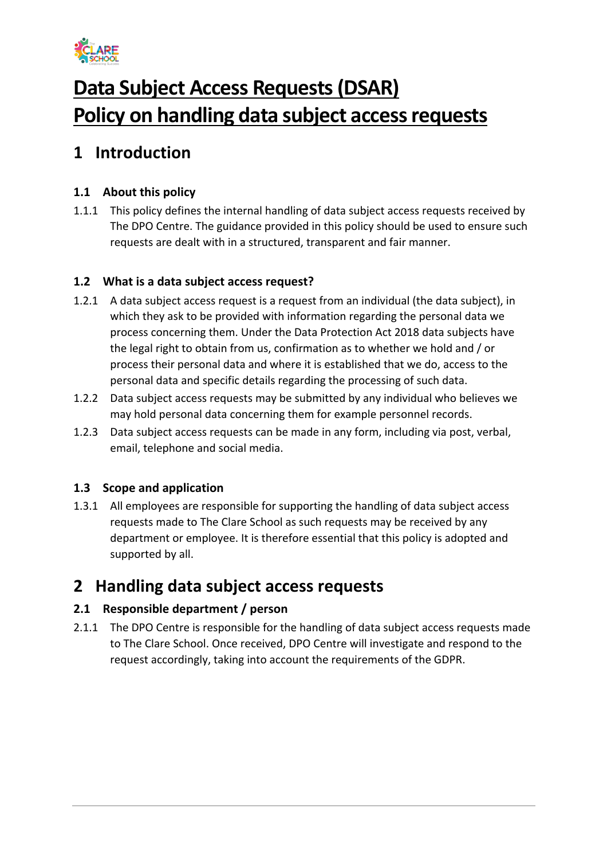

# **Data Subject Access Requests (DSAR) Policy on handling data subject access requests**

## **1 Introduction**

### **1.1 About this policy**

1.1.1 This policy defines the internal handling of data subject access requests received by The DPO Centre. The guidance provided in this policy should be used to ensure such requests are dealt with in a structured, transparent and fair manner.

#### **1.2 What is a data subject access request?**

- 1.2.1 A data subject access request is a request from an individual (the data subject), in which they ask to be provided with information regarding the personal data we process concerning them. Under the Data Protection Act 2018 data subjects have the legal right to obtain from us, confirmation as to whether we hold and / or process their personal data and where it is established that we do, access to the personal data and specific details regarding the processing of such data.
- 1.2.2 Data subject access requests may be submitted by any individual who believes we may hold personal data concerning them for example personnel records.
- 1.2.3 Data subject access requests can be made in any form, including via post, verbal, email, telephone and social media.

#### **1.3 Scope and application**

1.3.1 All employees are responsible for supporting the handling of data subject access requests made to The Clare School as such requests may be received by any department or employee. It is therefore essential that this policy is adopted and supported by all.

## **2 Handling data subject access requests**

#### **2.1 Responsible department / person**

2.1.1 The DPO Centre is responsible for the handling of data subject access requests made to The Clare School. Once received, DPO Centre will investigate and respond to the request accordingly, taking into account the requirements of the GDPR.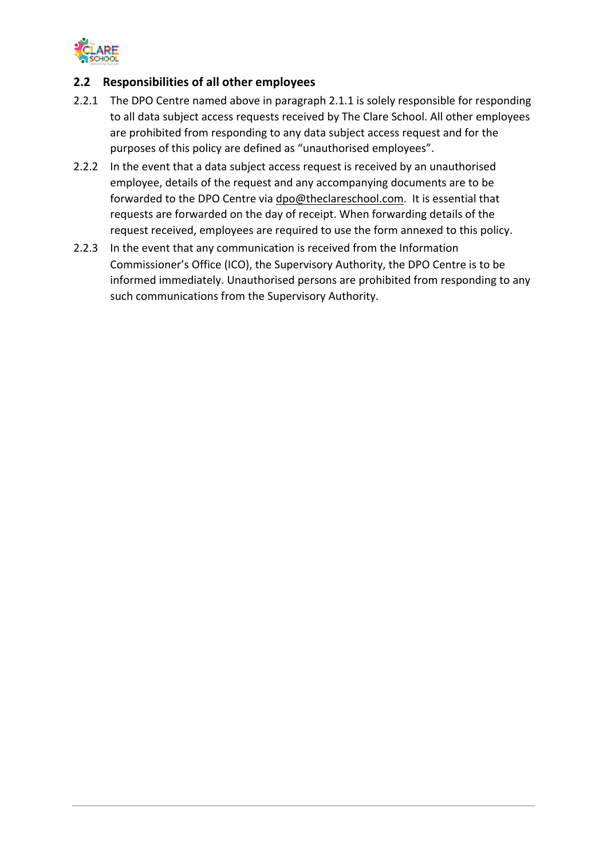

#### **2.2 Responsibilities of all other employees**

- 2.2.1 The DPO Centre named above in paragraph 2.1.1 is solely responsible for responding to all data subject access requests received by The Clare School. All other employees are prohibited from responding to any data subject access request and for the purposes of this policy are defined as "unauthorised employees".
- 2.2.2 In the event that a data subject access request is received by an unauthorised employee, details of the request and any accompanying documents are to be forwarded to the DPO Centre via dpo@theclareschool.com. It is essential that requests are forwarded on the day of receipt. When forwarding details of the request received, employees are required to use the form annexed to this policy.
- 2.2.3 In the event that any communication is received from the Information Commissioner's Office (ICO), the Supervisory Authority, the DPO Centre is to be informed immediately. Unauthorised persons are prohibited from responding to any such communications from the Supervisory Authority.